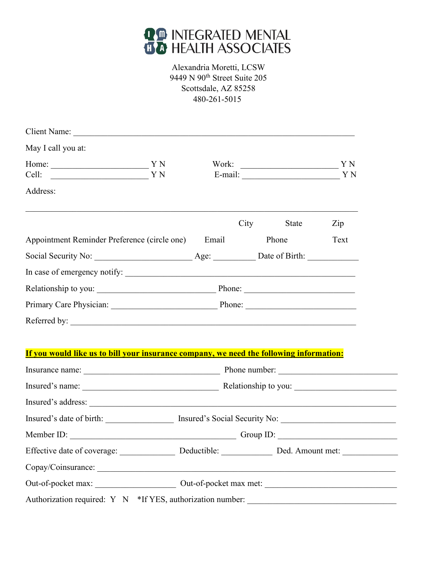

## Alexandria Moretti, LCSW 8079 N. 85th Way Scottsdale, AZ 85258 480-261-5015

| Client Name:<br>the control of the control of the control of                            |        |      |                                                                                                                        |      |
|-----------------------------------------------------------------------------------------|--------|------|------------------------------------------------------------------------------------------------------------------------|------|
| May I call you at:                                                                      |        |      |                                                                                                                        |      |
| Home: YN                                                                                |        |      |                                                                                                                        |      |
| Cell:                                                                                   |        |      | E-mail: YN                                                                                                             |      |
| Address:                                                                                |        |      |                                                                                                                        |      |
|                                                                                         |        |      |                                                                                                                        |      |
|                                                                                         |        | City | State                                                                                                                  | Zip  |
| Appointment Reminder Preference (circle one)                                            | Email  |      | Phone                                                                                                                  | Text |
| Social Security No:                                                                     | Age:   |      |                                                                                                                        |      |
| In case of emergency notify:                                                            |        |      |                                                                                                                        |      |
| Relationship to you:                                                                    | Phone: |      | <u> 1950 - Johann John Stoff, mars and de British and de British and de British and de British and de British and </u> |      |
| Primary Care Physician:                                                                 |        |      | Phone:                                                                                                                 |      |
| Referred by:                                                                            |        |      |                                                                                                                        |      |
|                                                                                         |        |      |                                                                                                                        |      |
| If you would like us to bill your insurance company, we need the following information: |        |      |                                                                                                                        |      |
| Insurance name: Phone number: Phone number:                                             |        |      |                                                                                                                        |      |
|                                                                                         |        |      |                                                                                                                        |      |
|                                                                                         |        |      |                                                                                                                        |      |
|                                                                                         |        |      |                                                                                                                        |      |
| Insured's date of birth: Insured's Social Security No: Insured's Social Security No:    |        |      |                                                                                                                        |      |
| Member ID:                                                                              |        |      | Group ID:                                                                                                              |      |
|                                                                                         |        |      |                                                                                                                        |      |
|                                                                                         |        |      |                                                                                                                        |      |
|                                                                                         |        |      |                                                                                                                        |      |
| Authorization required: Y N *If YES, authorization number:                              |        |      | the control of the control of the control of the control of the control of the control of                              |      |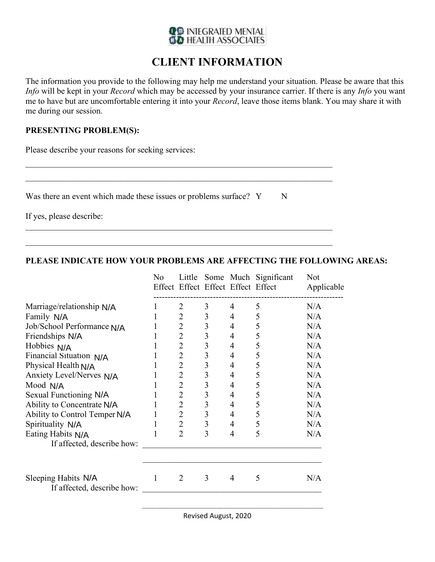$N/A$  $N/A$  $N/A$  $N/A$  $N/A$  $N/A$  $N/A$  $N/A$  $N/A$  $N/A$ A<br>N/A<br>N/A  $N/A$  $N/A$ 

 $N/A$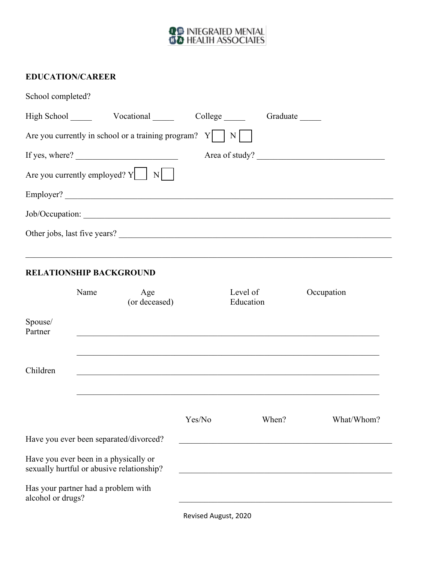## **QO INTEGRATED MENTAL**<br>**BO** HEALTH ASSOCIATES

## **EDUCATION/CAREER**

| School completed? |                                                                                    |        |                                                                                                                      |            |
|-------------------|------------------------------------------------------------------------------------|--------|----------------------------------------------------------------------------------------------------------------------|------------|
|                   |                                                                                    |        | Graduate                                                                                                             |            |
|                   | Are you currently in school or a training program? $Y \mid N$                      |        |                                                                                                                      |            |
|                   | If yes, where?                                                                     |        | Area of study?                                                                                                       |            |
|                   | Are you currently employed? $Y \cup N$                                             |        |                                                                                                                      |            |
|                   | Employer?                                                                          |        |                                                                                                                      |            |
|                   | Job/Occupation:<br>Other jobs, last five years?                                    |        |                                                                                                                      |            |
| Spouse/           | RELATIONSHIP BACKGROUND<br>Name<br>Age<br>(or deceased)                            |        | Education                                                                                                            | Occupation |
| Partner           |                                                                                    |        |                                                                                                                      |            |
| Children          |                                                                                    |        |                                                                                                                      |            |
|                   |                                                                                    | Yes/No | When?                                                                                                                | What/Whom? |
|                   | Have you ever been separated/divorced?                                             |        | <u> 1989 - Johann John Stone, martin de Brasilia (h. 1989).</u>                                                      |            |
|                   | Have you ever been in a physically or<br>sexually hurtful or abusive relationship? |        | <u> 1980 - Johann Stein, marwolaethau a bhann an t-Amhair ann an t-Amhair an t-Amhair an t-Amhair an t-Amhair an</u> |            |
| alcohol or drugs? | Has your partner had a problem with                                                |        |                                                                                                                      |            |

Revised **E**72020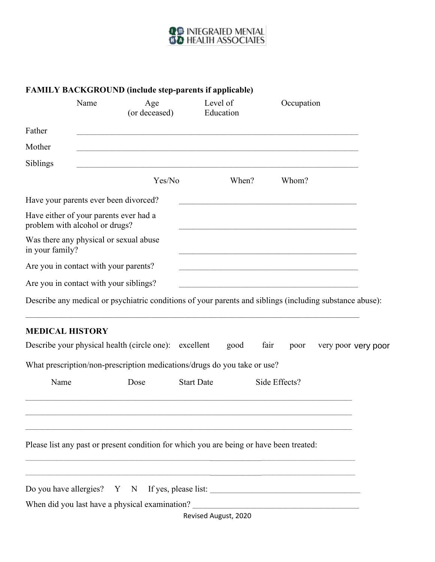## **QO INTEGRATED MENTAL**<br>**BO** HEALTH ASSOCIATES

|                        | Name                                  | Age<br>(or deceased)                                                                                     | Level of<br>Education |              | Occupation    |                     |  |
|------------------------|---------------------------------------|----------------------------------------------------------------------------------------------------------|-----------------------|--------------|---------------|---------------------|--|
| Father                 |                                       |                                                                                                          |                       |              |               |                     |  |
| Mother                 |                                       |                                                                                                          |                       |              |               |                     |  |
| Siblings               |                                       |                                                                                                          |                       |              |               |                     |  |
|                        |                                       | Yes/No                                                                                                   |                       | When?        | Whom?         |                     |  |
|                        |                                       | Have your parents ever been divorced?                                                                    |                       |              |               |                     |  |
|                        | problem with alcohol or drugs?        | Have either of your parents ever had a                                                                   |                       |              |               |                     |  |
| in your family?        |                                       | Was there any physical or sexual abuse                                                                   |                       |              |               |                     |  |
|                        | Are you in contact with your parents? |                                                                                                          |                       |              |               |                     |  |
|                        |                                       | Are you in contact with your siblings?                                                                   |                       |              |               |                     |  |
|                        |                                       |                                                                                                          |                       |              |               |                     |  |
|                        |                                       | Describe any medical or psychiatric conditions of your parents and siblings (including substance abuse): |                       |              |               |                     |  |
| <b>MEDICAL HISTORY</b> |                                       |                                                                                                          |                       |              |               |                     |  |
|                        |                                       | Describe your physical health (circle one): excellent                                                    |                       | fair<br>good | poor          | very poor very poor |  |
|                        |                                       | What prescription/non-prescription medications/drugs do you take or use?                                 |                       |              |               |                     |  |
| Name                   |                                       | Dose                                                                                                     | <b>Start Date</b>     |              | Side Effects? |                     |  |
|                        |                                       |                                                                                                          |                       |              |               |                     |  |

\_\_\_\_\_\_\_\_\_\_\_\_\_\_\_\_\_\_\_\_\_\_\_\_\_\_\_\_\_\_\_\_\_\_\_\_\_\_\_\_\_\_\_\_\_\_\_\_\_\_\_\_\_\_\_\_\_\_\_\_\_\_\_\_\_\_\_\_\_\_\_\_\_\_\_\_\_\_\_\_\_\_\_\_\_\_\_\_\_\_\_\_\_\_\_\_\_\_\_\_\_\_\_\_\_\_\_\_\_\_\_\_\_\_ Do you have allergies? Y N If yes, please list: \_\_\_\_\_\_\_\_\_\_\_\_\_\_\_\_\_\_\_\_\_\_\_\_\_\_\_\_\_\_\_\_ When did you last have a physical examination? \_\_\_\_\_\_\_\_\_\_\_\_\_\_\_\_\_\_\_\_\_\_\_\_\_\_\_\_\_\_\_\_\_

Revised November, 2020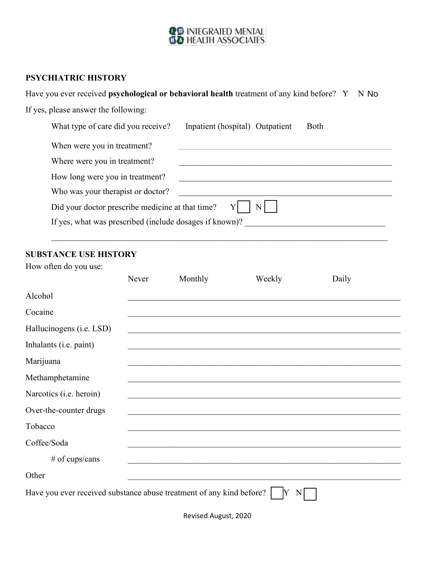$\Box$   $\Box$ 

 $\begin{array}{ccc} \square & \square \end{array}$ 

 $No$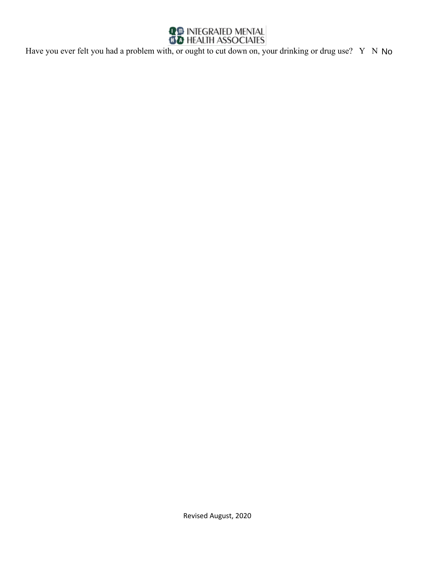$\operatorname{\mathsf{No}}$